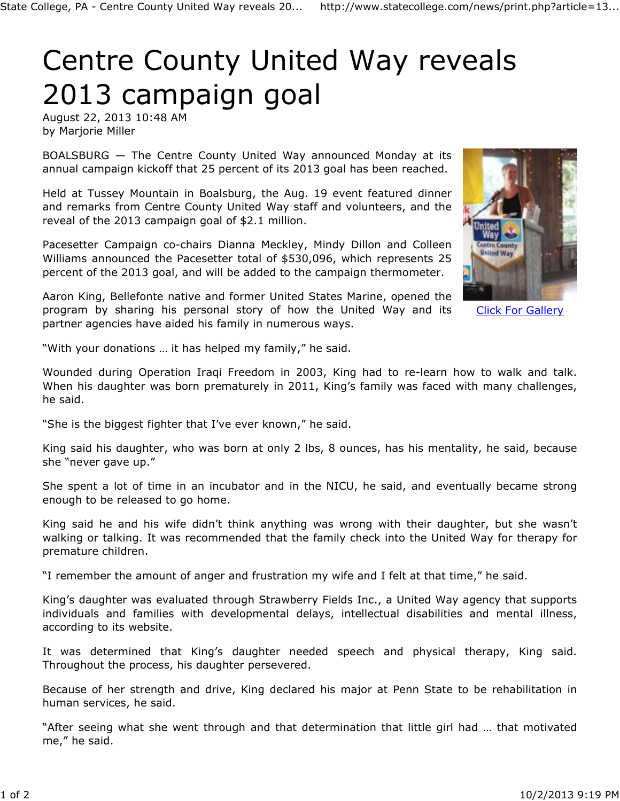## Centre County United Way reveals 2013 campaign goal

August 22, 2013 10:48 AM by Marjorie Miller

BOALSBURG — The Centre County United Way announced Monday at its annual campaign kickoff that 25 percent of its 2013 goal has been reached.

Held at Tussey Mountain in Boalsburg, the Aug. 19 event featured dinner and remarks from Centre County United Way staff and volunteers, and the reveal of the 2013 campaign goal of \$2.1 million.

Pacesetter Campaign co-chairs Dianna Meckley, Mindy Dillon and Colleen Williams announced the Pacesetter total of \$530,096, which represents 25 percent of the 2013 goal, and will be added to the campaign thermometer.

Aaron King, Bellefonte native and former United States Marine, opened the program by sharing his personal story of how the United Way and its partner agencies have aided his family in numerous ways.



Click For Gallery

"With your donations … it has helped my family," he said.

Wounded during Operation Iraqi Freedom in 2003, King had to re-learn how to walk and talk. When his daughter was born prematurely in 2011, King's family was faced with many challenges, he said.

"She is the biggest fighter that I've ever known," he said.

King said his daughter, who was born at only 2 lbs, 8 ounces, has his mentality, he said, because she "never gave up."

She spent a lot of time in an incubator and in the NICU, he said, and eventually became strong enough to be released to go home.

King said he and his wife didn't think anything was wrong with their daughter, but she wasn't walking or talking. It was recommended that the family check into the United Way for therapy for premature children.

"I remember the amount of anger and frustration my wife and I felt at that time," he said.

King's daughter was evaluated through Strawberry Fields Inc., a United Way agency that supports individuals and families with developmental delays, intellectual disabilities and mental illness, according to its website.

It was determined that King's daughter needed speech and physical therapy, King said. Throughout the process, his daughter persevered.

Because of her strength and drive, King declared his major at Penn State to be rehabilitation in human services, he said.

"After seeing what she went through and that determination that little girl had … that motivated me," he said.